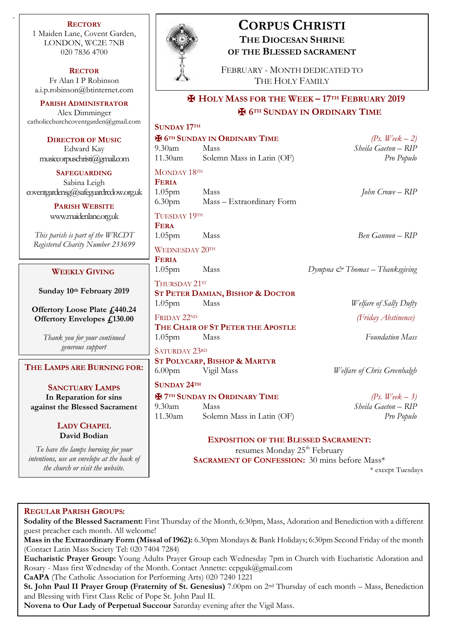**RECTORY** 1 Maiden Lane, Covent Garden, LONDON, WC2E 7NB 020 7836 4700

.

**RECTOR** Fr Alan I P Robinson [a.i.p.robinson@btinternet.com](mailto:a.i.p.robinson@btinternet.com)

**PARISH ADMINISTRATOR** Alex Dimminger [catholicchurchcoventgarden@gmail.com](mailto:catholicchurchcoventgarden@gmail.com)

**DIRECTOR OF MUSIC** Edward Kay musiccorpuschristi@gmail.com

**SAFEGUARDING** Sabina Leigh [coventgardensg@safeguardrcdow.org.uk](mailto:coventgardensg@safeguardrcdow.org.uk)

> **PARISH WEBSITE** [www.maidenlane.org.uk](http://www.maidenlane.org.uk/)

*This parish is part of the WRCDT Registered Charity Number 233699*

## **WEEKLY GIVING**

**Sunday 10th February 2019** 

**Offertory Loose Plate £440.24 Offertory Envelopes £130.00**

> *Thank you for your continued generous support*

**THE LAMPS ARE BURNING FOR:**

**SANCTUARY LAMPS In Reparation for sins against the Blessed Sacrament**

## **LADY CHAPEL David Bodian**

*To have the lamps burning for your intentions, use an envelope at the back of the church or visit the website.*



# **CORPUS CHRISTI THE DIOCESAN SHRINE OF THE BLESSED SACRAMENT**

FEBRUARY - MONTH DEDICATED TO THE HOLY FAMILY

# ✠ **HOLY MASS FOR THE WEEK – 17TH FEBRUARY 2019** ✠ **6TH SUNDAY IN ORDINARY TIME**

| SUNDAY 17TH                                      |                           |                     |
|--------------------------------------------------|---------------------------|---------------------|
| <b>E</b> 6 <sup>TH</sup> SUNDAY IN ORDINARY TIME |                           | (Ps. Week $-2$ )    |
| 9.30am                                           | Mass                      | Sheila Gaeton – RIP |
| 11.30am                                          | Solemn Mass in Latin (OF) | Pro Populo          |
| MONDAY 18TH                                      |                           |                     |
| <b>FERIA</b>                                     |                           |                     |
| 1.05 <sub>pm</sub>                               | Mass                      | John Crowe – RIP    |
| 6.30 <sub>pm</sub>                               | Mass - Extraordinary Form |                     |

TUESDAY 19TH **FERA**

WEDNESDAY 20TH

**FERIA**

THURSDAY 21ST **ST PETER DAMIAN, BISHOP & DOCTOR** 1.05pm Mass *Welfare of Sally Dufty*

FRIDAY 22ND *(Friday Abstinence)* **THE CHAIR OF ST PETER THE APOSTLE** 1.05pm Mass *Foundation Mass*

SATURDAY 23RD **ST POLYCARP, BISHOP & MARTYR**

**SUNDAY 24TH**  $\mathbf{\hat{H}}$  7<sup>TH</sup> SUNDAY IN ORDINARY TIME  $(P_s, Week - 3)$ 9.30am Mass *Sheila Gaeton – RIP* 11.30am Solemn Mass in Latin (OF) *Pro Populo*

1.05pm Mass *Ben Gannon – RIP*

1.05pm Mass *Dympna & Thomas – Thanksgiving*

6.00pm Vigil Mass *Welfare of Chris Greenhalgh*

**EXPOSITION OF THE BLESSED SACRAMENT:** resumes Monday 25<sup>th</sup> February **SACRAMENT OF CONFESSION:** 30 mins before Mass\*

\* except Tuesdays

## **REGULAR PARISH GROUPS:**

**Sodality of the Blessed Sacrament:** First Thursday of the Month, 6:30pm, Mass, Adoration and Benediction with a different guest preacher each month. All welcome!

**Mass in the Extraordinary Form (Missal of 1962):** 6.30pm Mondays & Bank Holidays; 6:30pm Second Friday of the month (Contact Latin Mass Society Tel: 020 7404 7284)

**Eucharistic Prayer Group:** Young Adults Prayer Group each Wednesday 7pm in Church with Eucharistic Adoration and Rosary - Mass first Wednesday of the Month. Contact Annette: ccpguk@gmail.com

**CaAPA** (The Catholic Association for Performing Arts) 020 7240 1221

**St. John Paul II Prayer Group (Fraternity of St. Genesius)** 7.00pm on 2nd Thursday of each month – Mass, Benediction and Blessing with First Class Relic of Pope St. John Paul II.

**Novena to Our Lady of Perpetual Succour** Saturday evening after the Vigil Mass.